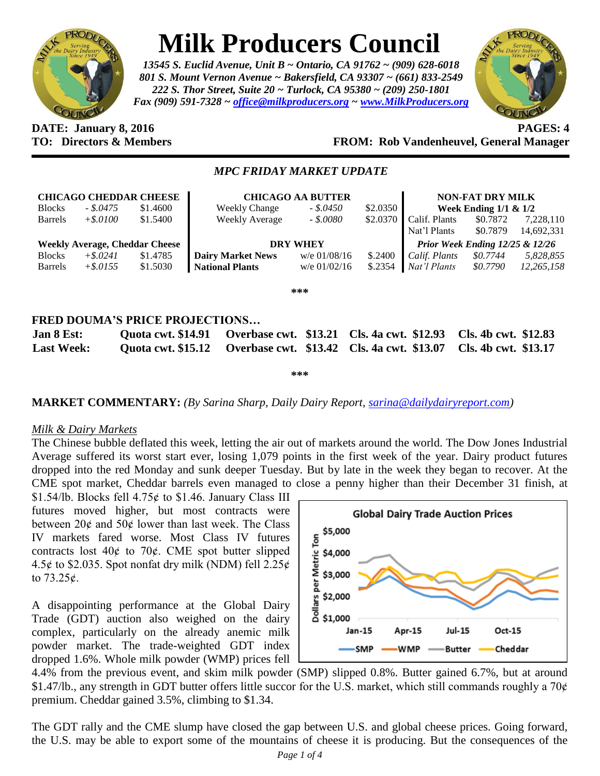

# **Milk Producers Council**

*13545 S. Euclid Avenue, Unit B ~ Ontario, CA 91762 ~ (909) 628-6018 801 S. Mount Vernon Avenue ~ Bakersfield, CA 93307 ~ (661) 833-2549 222 S. Thor Street, Suite 20 ~ Turlock, CA 95380 ~ (209) 250-1801 Fax (909) 591-7328 ~ [office@milkproducers.org](mailto:office@milkproducers.org) ~ [www.MilkProducers.org](http://www.milkproducers.org/)*



#### **DATE: January 8, 2016 PAGES: 4 FROM: Rob Vandenheuvel, General Manager**

## *MPC FRIDAY MARKET UPDATE*

| <b>CHICAGO CHEDDAR CHEESE</b>         |             |          | <b>CHICAGO AA BUTTER</b> |                 |          |                                    | <b>NON-FAT DRY MILK</b> |            |
|---------------------------------------|-------------|----------|--------------------------|-----------------|----------|------------------------------------|-------------------------|------------|
| <b>Blocks</b>                         | $-.8.0475$  | \$1.4600 | <b>Weekly Change</b>     | $-.50450$       | \$2.0350 | Week Ending $1/1$ & $1/2$          |                         |            |
| <b>Barrels</b>                        | $+$.0100$   | \$1.5400 | Weekly Average           | $-.50080$       | \$2.0370 | Calif. Plants                      | \$0.7872                | 7,228,110  |
|                                       |             |          |                          |                 |          | Nat'l Plants                       | \$0.7879                | 14,692,331 |
| <b>Weekly Average, Cheddar Cheese</b> |             |          |                          |                 |          |                                    |                         |            |
|                                       |             |          |                          | <b>DRY WHEY</b> |          | Prior Week Ending $12/25 \& 12/26$ |                         |            |
| <b>Blocks</b>                         | $+$ \$.0241 | \$1.4785 | <b>Dairy Market News</b> | $w/e$ 01/08/16  | \$.2400  | Calif. Plants                      | \$0.7744                | 5,828,855  |
| <b>Barrels</b>                        | $+$ \$.0155 | \$1.5030 | <b>National Plants</b>   | $w/e$ 01/02/16  | \$.2354  | Nat'l Plants                       | \$0.7790                | 12,265,158 |

**\*\*\***

# **FRED DOUMA'S PRICE PROJECTIONS…**

| Jan 8 Est:        | Quota cwt. \$14.91 Overbase cwt. \$13.21 Cls. 4a cwt. \$12.93 Cls. 4b cwt. \$12.83 |  |
|-------------------|------------------------------------------------------------------------------------|--|
| <b>Last Week:</b> | Quota cwt. \$15.12 Overbase cwt. \$13.42 Cls. 4a cwt. \$13.07 Cls. 4b cwt. \$13.17 |  |

**\*\*\***

# **MARKET COMMENTARY:** *(By Sarina Sharp, Daily Dairy Report, [sarina@dailydairyreport.com\)](mailto:sarina@dailydairyreport.com)*

#### *Milk & Dairy Markets*

The Chinese bubble deflated this week, letting the air out of markets around the world. The Dow Jones Industrial Average suffered its worst start ever, losing 1,079 points in the first week of the year. Dairy product futures dropped into the red Monday and sunk deeper Tuesday. But by late in the week they began to recover. At the CME spot market, Cheddar barrels even managed to close a penny higher than their December 31 finish, at

\$1.54/lb. Blocks fell  $4.75¢$  to \$1.46. January Class III futures moved higher, but most contracts were between  $20¢$  and  $50¢$  lower than last week. The Class IV markets fared worse. Most Class IV futures contracts lost  $40¢$  to  $70¢$ . CME spot butter slipped 4.5 $\phi$  to \$2.035. Spot nonfat dry milk (NDM) fell 2.25 $\phi$ to  $73.25\ell$ .

A disappointing performance at the Global Dairy Trade (GDT) auction also weighed on the dairy complex, particularly on the already anemic milk powder market. The trade-weighted GDT index dropped 1.6%. Whole milk powder (WMP) prices fell



4.4% from the previous event, and skim milk powder (SMP) slipped 0.8%. Butter gained 6.7%, but at around  $$1.47/b$ , any strength in GDT butter offers little succor for the U.S. market, which still commands roughly a 70 $\phi$ premium. Cheddar gained 3.5%, climbing to \$1.34.

The GDT rally and the CME slump have closed the gap between U.S. and global cheese prices. Going forward, the U.S. may be able to export some of the mountains of cheese it is producing. But the consequences of the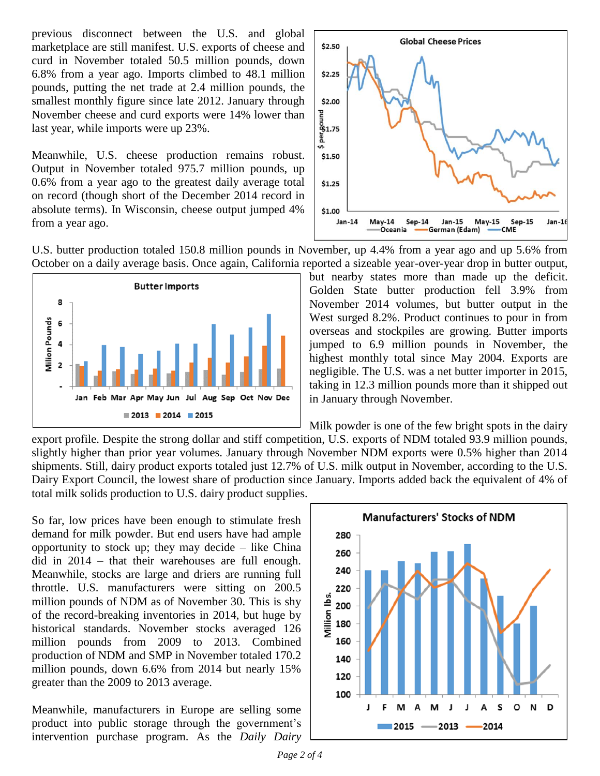previous disconnect between the U.S. and global marketplace are still manifest. U.S. exports of cheese and curd in November totaled 50.5 million pounds, down 6.8% from a year ago. Imports climbed to 48.1 million pounds, putting the net trade at 2.4 million pounds, the smallest monthly figure since late 2012. January through November cheese and curd exports were 14% lower than last year, while imports were up 23%.

Meanwhile, U.S. cheese production remains robust. Output in November totaled 975.7 million pounds, up 0.6% from a year ago to the greatest daily average total on record (though short of the December 2014 record in absolute terms). In Wisconsin, cheese output jumped 4% from a year ago.



U.S. butter production totaled 150.8 million pounds in November, up 4.4% from a year ago and up 5.6% from October on a daily average basis. Once again, California reported a sizeable year-over-year drop in butter output,



but nearby states more than made up the deficit. Golden State butter production fell 3.9% from November 2014 volumes, but butter output in the West surged 8.2%. Product continues to pour in from overseas and stockpiles are growing. Butter imports jumped to 6.9 million pounds in November, the highest monthly total since May 2004. Exports are negligible. The U.S. was a net butter importer in 2015, taking in 12.3 million pounds more than it shipped out in January through November.

Milk powder is one of the few bright spots in the dairy

export profile. Despite the strong dollar and stiff competition, U.S. exports of NDM totaled 93.9 million pounds, slightly higher than prior year volumes. January through November NDM exports were 0.5% higher than 2014 shipments. Still, dairy product exports totaled just 12.7% of U.S. milk output in November, according to the U.S. Dairy Export Council, the lowest share of production since January. Imports added back the equivalent of 4% of total milk solids production to U.S. dairy product supplies.

So far, low prices have been enough to stimulate fresh demand for milk powder. But end users have had ample opportunity to stock up; they may decide  $-$  like China did in 2014 – that their warehouses are full enough. Meanwhile, stocks are large and driers are running full throttle. U.S. manufacturers were sitting on 200.5 million pounds of NDM as of November 30. This is shy of the record-breaking inventories in 2014, but huge by historical standards. November stocks averaged 126 million pounds from 2009 to 2013. Combined production of NDM and SMP in November totaled 170.2 million pounds, down 6.6% from 2014 but nearly 15% greater than the 2009 to 2013 average.

Meanwhile, manufacturers in Europe are selling some product into public storage through the government's intervention purchase program. As the *Daily Dairy* 

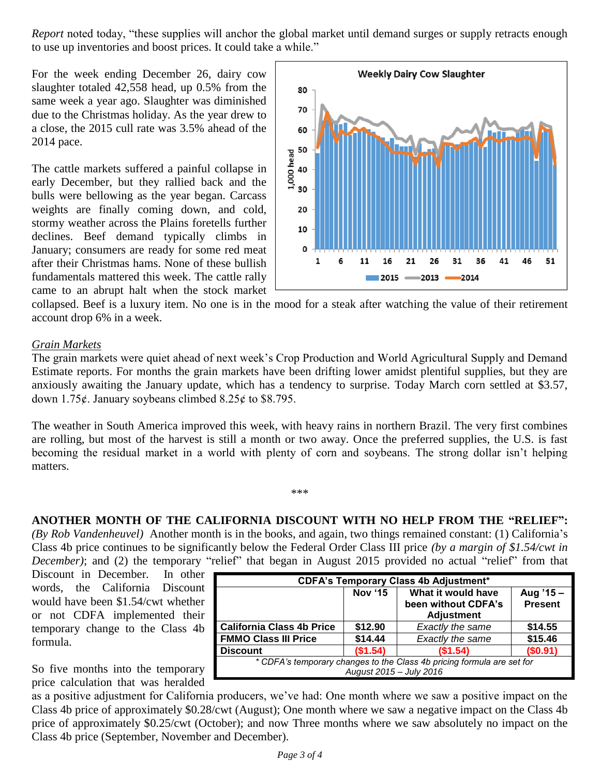*Report* noted today, "these supplies will anchor the global market until demand surges or supply retracts enough to use up inventories and boost prices. It could take a while."

For the week ending December 26, dairy cow slaughter totaled 42,558 head, up 0.5% from the same week a year ago. Slaughter was diminished due to the Christmas holiday. As the year drew to a close, the 2015 cull rate was 3.5% ahead of the 2014 pace.

The cattle markets suffered a painful collapse in early December, but they rallied back and the bulls were bellowing as the year began. Carcass weights are finally coming down, and cold, stormy weather across the Plains foretells further declines. Beef demand typically climbs in January; consumers are ready for some red meat after their Christmas hams. None of these bullish fundamentals mattered this week. The cattle rally came to an abrupt halt when the stock market



collapsed. Beef is a luxury item. No one is in the mood for a steak after watching the value of their retirement account drop 6% in a week.

## *Grain Markets*

The grain markets were quiet ahead of next week's Crop Production and World Agricultural Supply and Demand Estimate reports. For months the grain markets have been drifting lower amidst plentiful supplies, but they are anxiously awaiting the January update, which has a tendency to surprise. Today March corn settled at \$3.57, down 1.75 $\epsilon$ . January soybeans climbed 8.25 $\epsilon$  to \$8.795.

The weather in South America improved this week, with heavy rains in northern Brazil. The very first combines are rolling, but most of the harvest is still a month or two away. Once the preferred supplies, the U.S. is fast becoming the residual market in a world with plenty of corn and soybeans. The strong dollar isn't helping matters.

\*\*\*

**ANOTHER MONTH OF THE CALIFORNIA DISCOUNT WITH NO HELP FROM THE "RELIEF":**  *(By Rob Vandenheuvel)* Another month is in the books, and again, two things remained constant: (1) California's Class 4b price continues to be significantly below the Federal Order Class III price *(by a margin of \$1.54/cwt in December)*; and (2) the temporary "relief" that began in August 2015 provided no actual "relief" from that

Discount in December. In other words, the California Discount would have been \$1.54/cwt whether or not CDFA implemented their temporary change to the Class 4b formula.

So five months into the temporary price calculation that was heralded

| <b>CDFA's Temporary Class 4b Adjustment*</b>                                                      |          |                                                                |                             |  |  |  |  |
|---------------------------------------------------------------------------------------------------|----------|----------------------------------------------------------------|-----------------------------|--|--|--|--|
|                                                                                                   | Nov '15  | What it would have<br>been without CDFA's<br><b>Adjustment</b> | Aug '15 -<br><b>Present</b> |  |  |  |  |
| <b>California Class 4b Price</b>                                                                  | \$12.90  | Exactly the same                                               | \$14.55                     |  |  |  |  |
| <b>FMMO Class III Price</b>                                                                       | \$14.44  | Exactly the same                                               | \$15.46                     |  |  |  |  |
| <b>Discount</b>                                                                                   | (\$1.54) | (\$1.54)                                                       | (\$0.91)                    |  |  |  |  |
| * CDFA's temporary changes to the Class 4b pricing formula are set for<br>August 2015 - July 2016 |          |                                                                |                             |  |  |  |  |

as a positive adjustment for California producers, we've had: One month where we saw a positive impact on the Class 4b price of approximately \$0.28/cwt (August); One month where we saw a negative impact on the Class 4b price of approximately \$0.25/cwt (October); and now Three months where we saw absolutely no impact on the Class 4b price (September, November and December).